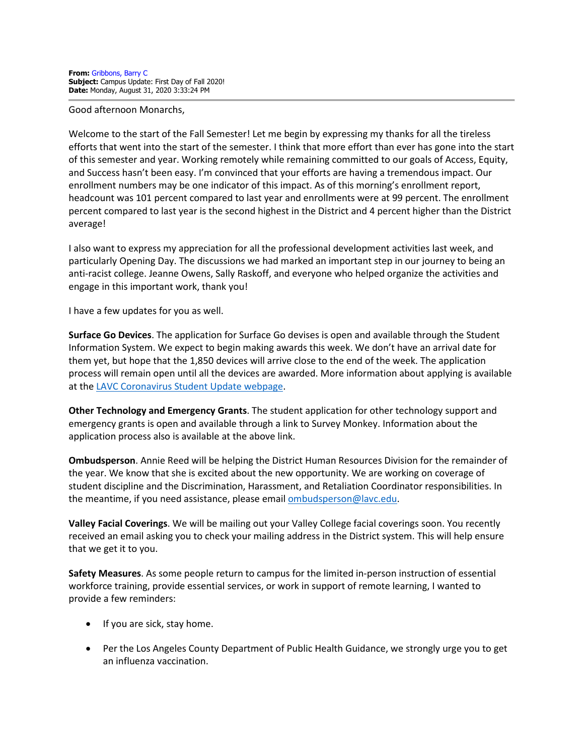Good afternoon Monarchs,

Welcome to the start of the Fall Semester! Let me begin by expressing my thanks for all the tireless efforts that went into the start of the semester. I think that more effort than ever has gone into the start of this semester and year. Working remotely while remaining committed to our goals of Access, Equity, and Success hasn't been easy. I'm convinced that your efforts are having a tremendous impact. Our enrollment numbers may be one indicator of this impact. As of this morning's enrollment report, headcount was 101 percent compared to last year and enrollments were at 99 percent. The enrollment percent compared to last year is the second highest in the District and 4 percent higher than the District average!

I also want to express my appreciation for all the professional development activities last week, and particularly Opening Day. The discussions we had marked an important step in our journey to being an anti-racist college. Jeanne Owens, Sally Raskoff, and everyone who helped organize the activities and engage in this important work, thank you!

I have a few updates for you as well.

**Surface Go Devices**. The application for Surface Go devises is open and available through the Student Information System. We expect to begin making awards this week. We don't have an arrival date for them yet, but hope that the 1,850 devices will arrive close to the end of the week. The application process will remain open until all the devices are awarded. More information about applying is available at the [LAVC Coronavirus Student Update webpage.](https://www.lavc.edu/Coronavirus/Student-Updates.aspx#laptop)

**Other Technology and Emergency Grants**. The student application for other technology support and emergency grants is open and available through a link to Survey Monkey. Information about the application process also is available at the above link.

**Ombudsperson**. Annie Reed will be helping the District Human Resources Division for the remainder of the year. We know that she is excited about the new opportunity. We are working on coverage of student discipline and the Discrimination, Harassment, and Retaliation Coordinator responsibilities. In the meantime, if you need assistance, please email [ombudsperson@lavc.edu.](mailto:ombudsperson@lavc.edu)

**Valley Facial Coverings**. We will be mailing out your Valley College facial coverings soon. You recently received an email asking you to check your mailing address in the District system. This will help ensure that we get it to you.

**Safety Measures**. As some people return to campus for the limited in-person instruction of essential workforce training, provide essential services, or work in support of remote learning, I wanted to provide a few reminders:

- If you are sick, stay home.
- Per the Los Angeles County Department of Public Health Guidance, we strongly urge you to get an influenza vaccination.